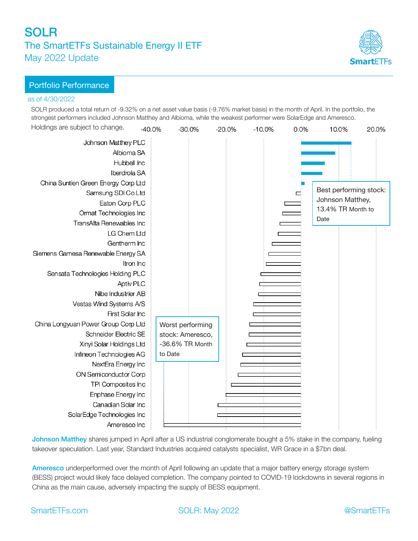# SOLR The SmartETFs Sustainable Energy II ETF May 2022 Update



### as of 4/30/2022

SOLR produced a total return of -9.32% on a net asset value basis (-9.76% market basis) in the month of April. In the portfolio, the strongest performers included Johnson Matthey and Albioma, while the weakest performer were SolarEdge and Ameresco.



Johnson Matthey shares jumped in April after a US industrial conglomerate bought a 5% stake in the company, fueling takeover speculation. Last year, Standard Industries acquired catalysts specialist, WR Grace in a \$7bn deal.

Ameresco underperformed over the month of April following an update that a major battery energy storage system (BESS) project would likely face delayed completion. The company pointed to COVID-19 lockdowns in several regions in China as the main cause, adversely impacting the supply of BESS equipment.

SmartETFs.com SOLR: May 2022 **@SmartETFs** 

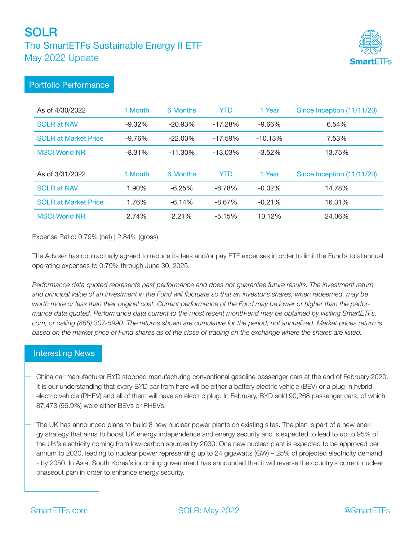# **SOLR** The SmartETFs Sustainable Energy II ETF May 2022 Update



## Portfolio Performance

| As of 4/30/2022             | 1 Month  | 6 Months   | YTD        | 1 Year    | Since Inception (11/11/20) |
|-----------------------------|----------|------------|------------|-----------|----------------------------|
| <b>SOLR at NAV</b>          | $-9.32%$ | $-20.93\%$ | $-17.28%$  | $-9.66%$  | 6.54%                      |
| <b>SOLR at Market Price</b> | $-9.76%$ | $-22.00\%$ | $-17.59%$  | $-10.13%$ | 7.53%                      |
| <b>MSCI World NR</b>        | $-8.31%$ | $-11.30\%$ | $-13.03\%$ | $-3.52%$  | 13.75%                     |
| As of 3/31/2022             | 1 Month  | 6 Months   | <b>YTD</b> | 1 Year    | Since Inception (11/11/20) |
| <b>SOLR at NAV</b>          | 1.90%    | $-6.25%$   | $-8.78%$   | $-0.02%$  | 14.78%                     |
| <b>SOLR at Market Price</b> | 1.76%    | $-6.14%$   | $-8.67%$   | $-0.21%$  | 16.31%                     |
| <b>MSCI World NR</b>        | 2.74%    | 2.21%      | $-5.15%$   | 10.12%    | 24.06%                     |

Expense Ratio: 0.79% (net) | 2.84% (gross)

The Adviser has contractually agreed to reduce its fees and/or pay ETF expenses in order to limit the Fund's total annual operating expenses to 0.79% through June 30, 2025.

*Performance data quoted represents past performance and does not guarantee future results. The investment return and principal value of an investment in the Fund will fluctuate so that an investor's shares, when redeemed, may be worth more or less than their original cost. Current performance of the Fund may be lower or higher than the performance data quoted. Performance data current to the most recent month-end may be obtained by visiting SmartETFs. com, or calling (866) 307-5990. The returns shown are cumulative for the period, not annualized. Market prices return is based on the market price of Fund shares as of the close of trading on the exchange where the shares are listed.* 

### Interesting News

China car manufacturer BYD stopped manufacturing conventional gasoline passenger cars at the end of February 2020. It is our understanding that every BYD car from here will be either a battery electric vehicle (BEV) or a plug-in hybrid electric vehicle (PHEV) and all of them will have an electric plug. In February, BYD sold 90,268 passenger cars, of which 87,473 (96.9%) were either BEVs or PHEVs.

The UK has announced plans to build 8 new nuclear power plants on existing sites. The plan is part of a new energy strategy that aims to boost UK energy independence and energy security and is expected to lead to up to 95% of the UK's electricity coming from low-carbon sources by 2030. One new nuclear plant is expected to be approved per annum to 2030, leading to nuclear power representing up to 24 gigawatts (GW) – 25% of projected electricity demand - by 2050. In Asia, South Korea's incoming government has announced that it will reverse the country's current nuclear phaseout plan in order to enhance energy security.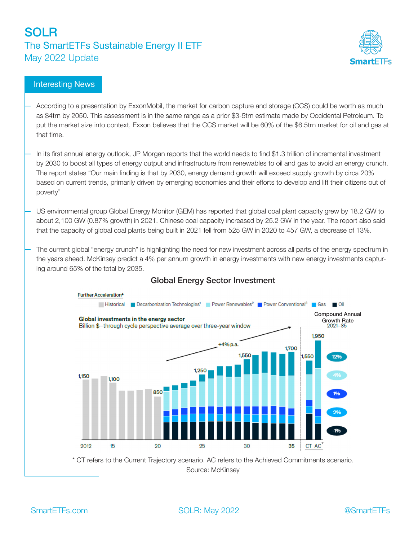## **SOLR** The SmartETFs Sustainable Energy II ETF May 2022 Update



## Interesting News

- According to a presentation by ExxonMobil, the market for carbon capture and storage (CCS) could be worth as much as \$4trn by 2050. This assessment is in the same range as a prior \$3-5trn estimate made by Occidental Petroleum. To put the market size into context, Exxon believes that the CCS market will be 60% of the \$6.5trn market for oil and gas at that time.
- In its first annual energy outlook, JP Morgan reports that the world needs to find \$1.3 trillion of incremental investment by 2030 to boost all types of energy output and infrastructure from renewables to oil and gas to avoid an energy crunch. The report states "Our main finding is that by 2030, energy demand growth will exceed supply growth by circa 20% based on current trends, primarily driven by emerging economies and their efforts to develop and lift their citizens out of poverty"
- US environmental group Global Energy Monitor (GEM) has reported that global coal plant capacity grew by 18.2 GW to about 2,100 GW (0.87% growth) in 2021. Chinese coal capacity increased by 25.2 GW in the year. The report also said that the capacity of global coal plants being built in 2021 fell from 525 GW in 2020 to 457 GW, a decrease of 13%.

The current global "energy crunch" is highlighting the need for new investment across all parts of the energy spectrum in the years ahead. McKinsey predict a 4% per annum growth in energy investments with new energy investments capturing around 65% of the total by 2035.



## Global Energy Sector Investment

\* CT refers to the Current Trajectory scenario. AC refers to the Achieved Commitments scenario. Source: McKinsey